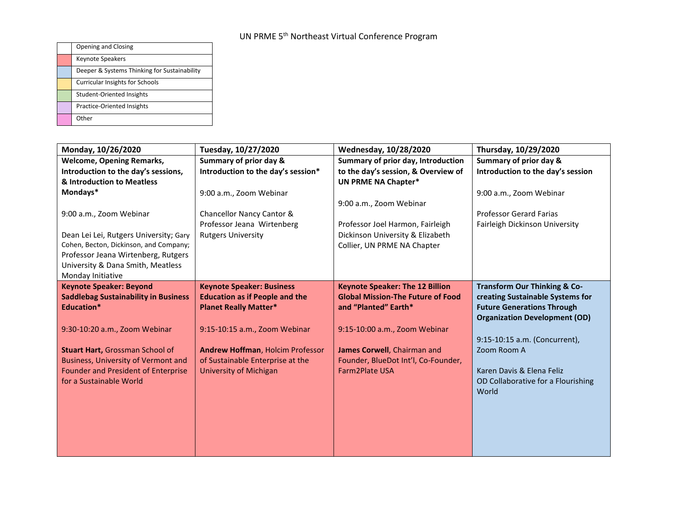| Opening and Closing                          |
|----------------------------------------------|
| <b>Keynote Speakers</b>                      |
| Deeper & Systems Thinking for Sustainability |
| <b>Curricular Insights for Schools</b>       |
| Student-Oriented Insights                    |
| <b>Practice-Oriented Insights</b>            |
| Other                                        |

| Monday, 10/26/2020                          | Tuesday, 10/27/2020                   | Wednesday, 10/28/2020                    | Thursday, 10/29/2020                    |
|---------------------------------------------|---------------------------------------|------------------------------------------|-----------------------------------------|
| <b>Welcome, Opening Remarks,</b>            | Summary of prior day &                | Summary of prior day, Introduction       | Summary of prior day &                  |
| Introduction to the day's sessions,         | Introduction to the day's session*    | to the day's session, & Overview of      | Introduction to the day's session       |
| & Introduction to Meatless                  |                                       | <b>UN PRME NA Chapter*</b>               |                                         |
| Mondays*                                    | 9:00 a.m., Zoom Webinar               |                                          | 9:00 a.m., Zoom Webinar                 |
|                                             |                                       | 9:00 a.m., Zoom Webinar                  |                                         |
| 9:00 a.m., Zoom Webinar                     | Chancellor Nancy Cantor &             |                                          | <b>Professor Gerard Farias</b>          |
|                                             | Professor Jeana Wirtenberg            | Professor Joel Harmon, Fairleigh         | Fairleigh Dickinson University          |
| Dean Lei Lei, Rutgers University; Gary      | <b>Rutgers University</b>             | Dickinson University & Elizabeth         |                                         |
| Cohen, Becton, Dickinson, and Company;      |                                       | Collier, UN PRME NA Chapter              |                                         |
| Professor Jeana Wirtenberg, Rutgers         |                                       |                                          |                                         |
| University & Dana Smith, Meatless           |                                       |                                          |                                         |
| Monday Initiative                           |                                       |                                          |                                         |
| <b>Keynote Speaker: Beyond</b>              | <b>Keynote Speaker: Business</b>      | <b>Keynote Speaker: The 12 Billion</b>   | <b>Transform Our Thinking &amp; Co-</b> |
| <b>Saddlebag Sustainability in Business</b> | <b>Education as if People and the</b> | <b>Global Mission-The Future of Food</b> | creating Sustainable Systems for        |
| Education*                                  | <b>Planet Really Matter*</b>          | and "Planted" Earth*                     | <b>Future Generations Through</b>       |
|                                             |                                       |                                          | <b>Organization Development (OD)</b>    |
| 9:30-10:20 a.m., Zoom Webinar               | 9:15-10:15 a.m., Zoom Webinar         | 9:15-10:00 a.m., Zoom Webinar            |                                         |
|                                             |                                       |                                          | 9:15-10:15 a.m. (Concurrent),           |
| <b>Stuart Hart, Grossman School of</b>      | Andrew Hoffman, Holcim Professor      | James Corwell, Chairman and              | Zoom Room A                             |
| <b>Business, University of Vermont and</b>  | of Sustainable Enterprise at the      | Founder, BlueDot Int'l, Co-Founder,      |                                         |
| Founder and President of Enterprise         | University of Michigan                | <b>Farm2Plate USA</b>                    | Karen Davis & Elena Feliz               |
| for a Sustainable World                     |                                       |                                          | OD Collaborative for a Flourishing      |
|                                             |                                       |                                          | World                                   |
|                                             |                                       |                                          |                                         |
|                                             |                                       |                                          |                                         |
|                                             |                                       |                                          |                                         |
|                                             |                                       |                                          |                                         |
|                                             |                                       |                                          |                                         |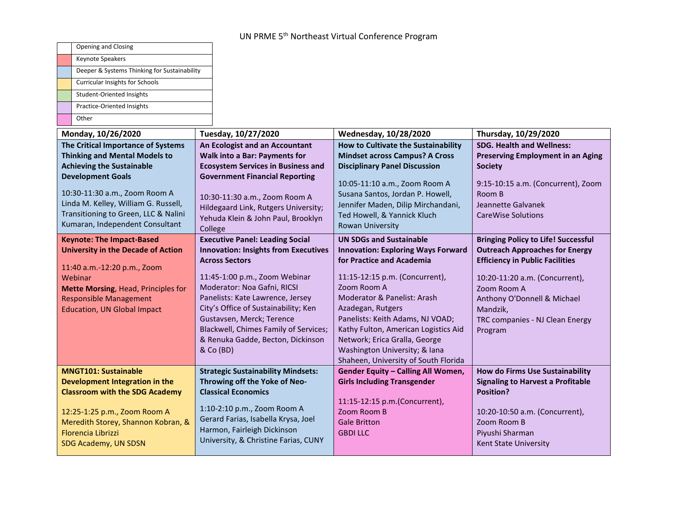|                                                                      | Opening and Closing                                                     |                                                             |                                                                          |                                                              |
|----------------------------------------------------------------------|-------------------------------------------------------------------------|-------------------------------------------------------------|--------------------------------------------------------------------------|--------------------------------------------------------------|
|                                                                      | Keynote Speakers                                                        |                                                             |                                                                          |                                                              |
|                                                                      | Deeper & Systems Thinking for Sustainability                            |                                                             |                                                                          |                                                              |
|                                                                      | Curricular Insights for Schools                                         |                                                             |                                                                          |                                                              |
|                                                                      | Student-Oriented Insights                                               |                                                             |                                                                          |                                                              |
|                                                                      | Practice-Oriented Insights                                              |                                                             |                                                                          |                                                              |
|                                                                      | Other                                                                   |                                                             |                                                                          |                                                              |
|                                                                      | Monday, 10/26/2020                                                      | Tuesday, 10/27/2020                                         | Wednesday, 10/28/2020                                                    | Thursday, 10/29/2020                                         |
|                                                                      | The Critical Importance of Systems                                      | An Ecologist and an Accountant                              | How to Cultivate the Sustainability                                      | <b>SDG. Health and Wellness:</b>                             |
|                                                                      | <b>Thinking and Mental Models to</b>                                    | <b>Walk into a Bar: Payments for</b>                        | <b>Mindset across Campus? A Cross</b>                                    | <b>Preserving Employment in an Aging</b>                     |
|                                                                      | <b>Achieving the Sustainable</b>                                        | <b>Ecosystem Services in Business and</b>                   | <b>Disciplinary Panel Discussion</b>                                     | <b>Society</b>                                               |
|                                                                      | <b>Development Goals</b>                                                | <b>Government Financial Reporting</b>                       | 10:05-11:10 a.m., Zoom Room A                                            | 9:15-10:15 a.m. (Concurrent), Zoom                           |
|                                                                      | 10:30-11:30 a.m., Zoom Room A                                           | 10:30-11:30 a.m., Zoom Room A                               | Susana Santos, Jordan P. Howell,                                         | Room B                                                       |
|                                                                      | Linda M. Kelley, William G. Russell,                                    | Hildegaard Link, Rutgers University;                        | Jennifer Maden, Dilip Mirchandani,                                       | Jeannette Galvanek                                           |
|                                                                      | Transitioning to Green, LLC & Nalini                                    | Yehuda Klein & John Paul, Brooklyn                          | Ted Howell, & Yannick Kluch                                              | <b>CareWise Solutions</b>                                    |
|                                                                      | Kumaran, Independent Consultant                                         | College                                                     | Rowan University                                                         |                                                              |
|                                                                      | <b>Keynote: The Impact-Based</b>                                        | <b>Executive Panel: Leading Social</b>                      | <b>UN SDGs and Sustainable</b>                                           | <b>Bringing Policy to Life! Successful</b>                   |
| <b>University in the Decade of Action</b>                            |                                                                         | <b>Innovation: Insights from Executives</b>                 | <b>Innovation: Exploring Ways Forward</b>                                | <b>Outreach Approaches for Energy</b>                        |
| 11:40 a.m.-12:20 p.m., Zoom                                          |                                                                         | <b>Across Sectors</b>                                       | for Practice and Academia                                                | <b>Efficiency in Public Facilities</b>                       |
| Webinar                                                              |                                                                         | 11:45-1:00 p.m., Zoom Webinar                               | 11:15-12:15 p.m. (Concurrent),                                           | 10:20-11:20 a.m. (Concurrent),                               |
| Mette Morsing, Head, Principles for<br><b>Responsible Management</b> |                                                                         | Moderator: Noa Gafni, RICSI                                 | Zoom Room A                                                              | Zoom Room A                                                  |
|                                                                      |                                                                         | Panelists: Kate Lawrence, Jersey                            | Moderator & Panelist: Arash                                              | Anthony O'Donnell & Michael                                  |
|                                                                      | <b>Education, UN Global Impact</b>                                      | City's Office of Sustainability; Ken                        | Azadegan, Rutgers                                                        | Mandzik,                                                     |
|                                                                      |                                                                         | Gustavsen, Merck; Terence                                   | Panelists: Keith Adams, NJ VOAD;                                         | TRC companies - NJ Clean Energy                              |
|                                                                      |                                                                         | Blackwell, Chimes Family of Services;                       | Kathy Fulton, American Logistics Aid                                     | Program                                                      |
|                                                                      |                                                                         | & Renuka Gadde, Becton, Dickinson                           | Network; Erica Gralla, George                                            |                                                              |
|                                                                      |                                                                         | & Co (BD)                                                   | Washington University; & Iana                                            |                                                              |
|                                                                      |                                                                         |                                                             | Shaheen, University of South Florida                                     |                                                              |
|                                                                      | <b>MNGT101: Sustainable</b>                                             | <b>Strategic Sustainability Mindsets:</b>                   | Gender Equity - Calling All Women,<br><b>Girls Including Transgender</b> | <b>How do Firms Use Sustainability</b>                       |
|                                                                      | Development Integration in the<br><b>Classroom with the SDG Academy</b> | Throwing off the Yoke of Neo-<br><b>Classical Economics</b> |                                                                          | <b>Signaling to Harvest a Profitable</b><br><b>Position?</b> |
|                                                                      |                                                                         |                                                             | 11:15-12:15 p.m.(Concurrent),                                            |                                                              |
|                                                                      |                                                                         |                                                             |                                                                          |                                                              |
|                                                                      |                                                                         | 1:10-2:10 p.m., Zoom Room A                                 | Zoom Room B                                                              |                                                              |
|                                                                      | 12:25-1:25 p.m., Zoom Room A                                            | Gerard Farias, Isabella Krysa, Joel                         | <b>Gale Britton</b>                                                      | 10:20-10:50 a.m. (Concurrent),<br>Zoom Room B                |
|                                                                      | Meredith Storey, Shannon Kobran, &<br>Florencia Librizzi                | Harmon, Fairleigh Dickinson                                 | <b>GBDI LLC</b>                                                          | Piyushi Sharman                                              |
|                                                                      | SDG Academy, UN SDSN                                                    | University, & Christine Farias, CUNY                        |                                                                          | Kent State University                                        |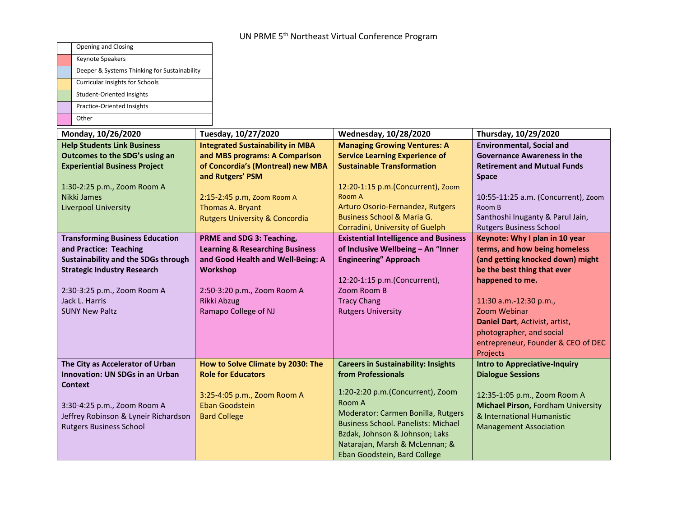| Opening and Closing                                                        |                                            |                                                                           |                                                                    |
|----------------------------------------------------------------------------|--------------------------------------------|---------------------------------------------------------------------------|--------------------------------------------------------------------|
| Keynote Speakers                                                           |                                            |                                                                           |                                                                    |
| Deeper & Systems Thinking for Sustainability                               |                                            |                                                                           |                                                                    |
| <b>Curricular Insights for Schools</b>                                     |                                            |                                                                           |                                                                    |
| Student-Oriented Insights                                                  |                                            |                                                                           |                                                                    |
| Practice-Oriented Insights                                                 |                                            |                                                                           |                                                                    |
| Other                                                                      |                                            |                                                                           |                                                                    |
| Monday, 10/26/2020                                                         | Tuesday, 10/27/2020                        | Wednesday, 10/28/2020                                                     | Thursday, 10/29/2020                                               |
| <b>Help Students Link Business</b>                                         | <b>Integrated Sustainability in MBA</b>    | <b>Managing Growing Ventures: A</b>                                       | <b>Environmental, Social and</b>                                   |
| Outcomes to the SDG's using an                                             | and MBS programs: A Comparison             | <b>Service Learning Experience of</b>                                     | <b>Governance Awareness in the</b>                                 |
| <b>Experiential Business Project</b>                                       | of Concordia's (Montreal) new MBA          | <b>Sustainable Transformation</b>                                         | <b>Retirement and Mutual Funds</b>                                 |
|                                                                            | and Rutgers' PSM                           |                                                                           | <b>Space</b>                                                       |
| 1:30-2:25 p.m., Zoom Room A                                                |                                            | 12:20-1:15 p.m.(Concurrent), Zoom                                         |                                                                    |
| Nikki James                                                                | 2:15-2:45 p.m, Zoom Room A                 | Room A                                                                    | 10:55-11:25 a.m. (Concurrent), Zoom                                |
| <b>Liverpool University</b>                                                | Thomas A. Bryant                           | Arturo Osorio-Fernandez, Rutgers<br><b>Business School &amp; Maria G.</b> | Room B                                                             |
|                                                                            | <b>Rutgers University &amp; Concordia</b>  | Corradini, University of Guelph                                           | Santhoshi Inuganty & Parul Jain,<br><b>Rutgers Business School</b> |
| <b>Transforming Business Education</b>                                     | PRME and SDG 3: Teaching,                  | <b>Existential Intelligence and Business</b>                              | Keynote: Why I plan in 10 year                                     |
| and Practice: Teaching                                                     | <b>Learning &amp; Researching Business</b> | of Inclusive Wellbeing - An "Inner                                        | terms, and how being homeless                                      |
| Sustainability and the SDGs through                                        | and Good Health and Well-Being: A          | <b>Engineering" Approach</b>                                              | (and getting knocked down) might                                   |
| <b>Strategic Industry Research</b>                                         | Workshop                                   |                                                                           | be the best thing that ever                                        |
|                                                                            |                                            | 12:20-1:15 p.m.(Concurrent),                                              | happened to me.                                                    |
| 2:30-3:25 p.m., Zoom Room A                                                | 2:50-3:20 p.m., Zoom Room A                | Zoom Room B                                                               |                                                                    |
| Jack L. Harris                                                             | <b>Rikki Abzug</b>                         | <b>Tracy Chang</b>                                                        | 11:30 a.m.-12:30 p.m.,                                             |
| <b>SUNY New Paltz</b>                                                      | Ramapo College of NJ                       | <b>Rutgers University</b>                                                 | Zoom Webinar                                                       |
|                                                                            |                                            |                                                                           | Daniel Dart, Activist, artist,                                     |
|                                                                            |                                            |                                                                           | photographer, and social                                           |
|                                                                            |                                            |                                                                           | entrepreneur, Founder & CEO of DEC                                 |
|                                                                            | How to Solve Climate by 2030: The          |                                                                           | Projects<br><b>Intro to Appreciative-Inquiry</b>                   |
| The City as Accelerator of Urban<br><b>Innovation: UN SDGs in an Urban</b> | <b>Role for Educators</b>                  | <b>Careers in Sustainability: Insights</b><br>from Professionals          | <b>Dialogue Sessions</b>                                           |
| <b>Context</b>                                                             |                                            |                                                                           |                                                                    |
|                                                                            | 3:25-4:05 p.m., Zoom Room A                | 1:20-2:20 p.m.(Concurrent), Zoom                                          | 12:35-1:05 p.m., Zoom Room A                                       |
| 3:30-4:25 p.m., Zoom Room A                                                | <b>Eban Goodstein</b>                      | Room A                                                                    | Michael Pirson, Fordham University                                 |
| Jeffrey Robinson & Lyneir Richardson                                       | <b>Bard College</b>                        | Moderator: Carmen Bonilla, Rutgers                                        | & International Humanistic                                         |
| <b>Rutgers Business School</b>                                             |                                            | <b>Business School. Panelists: Michael</b>                                | <b>Management Association</b>                                      |
|                                                                            |                                            | Bzdak, Johnson & Johnson; Laks                                            |                                                                    |
|                                                                            |                                            | Natarajan, Marsh & McLennan; &                                            |                                                                    |
|                                                                            |                                            | Eban Goodstein, Bard College                                              |                                                                    |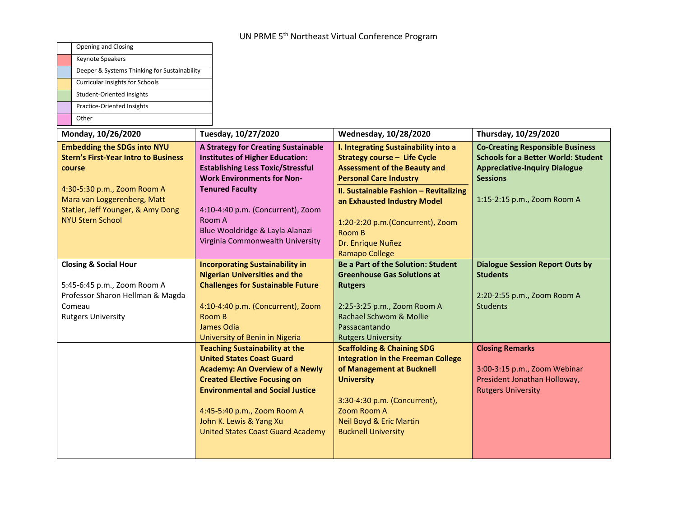| Opening and Closing                                                                                                        |                                                                                                                                                                                                                                                                                                                                               |                                                                                                                                                                                                                                                                           |                                                                                                                                                  |
|----------------------------------------------------------------------------------------------------------------------------|-----------------------------------------------------------------------------------------------------------------------------------------------------------------------------------------------------------------------------------------------------------------------------------------------------------------------------------------------|---------------------------------------------------------------------------------------------------------------------------------------------------------------------------------------------------------------------------------------------------------------------------|--------------------------------------------------------------------------------------------------------------------------------------------------|
| Keynote Speakers                                                                                                           |                                                                                                                                                                                                                                                                                                                                               |                                                                                                                                                                                                                                                                           |                                                                                                                                                  |
| Deeper & Systems Thinking for Sustainability                                                                               |                                                                                                                                                                                                                                                                                                                                               |                                                                                                                                                                                                                                                                           |                                                                                                                                                  |
| Curricular Insights for Schools                                                                                            |                                                                                                                                                                                                                                                                                                                                               |                                                                                                                                                                                                                                                                           |                                                                                                                                                  |
| <b>Student-Oriented Insights</b>                                                                                           |                                                                                                                                                                                                                                                                                                                                               |                                                                                                                                                                                                                                                                           |                                                                                                                                                  |
| Practice-Oriented Insights                                                                                                 |                                                                                                                                                                                                                                                                                                                                               |                                                                                                                                                                                                                                                                           |                                                                                                                                                  |
| Other                                                                                                                      |                                                                                                                                                                                                                                                                                                                                               |                                                                                                                                                                                                                                                                           |                                                                                                                                                  |
| Monday, 10/26/2020                                                                                                         | Tuesday, 10/27/2020                                                                                                                                                                                                                                                                                                                           | Wednesday, 10/28/2020                                                                                                                                                                                                                                                     | Thursday, 10/29/2020                                                                                                                             |
| <b>Embedding the SDGs into NYU</b><br><b>Stern's First-Year Intro to Business</b><br>course                                | A Strategy for Creating Sustainable<br><b>Institutes of Higher Education:</b><br><b>Establishing Less Toxic/Stressful</b><br><b>Work Environments for Non-</b>                                                                                                                                                                                | I. Integrating Sustainability into a<br><b>Strategy course - Life Cycle</b><br><b>Assessment of the Beauty and</b><br><b>Personal Care Industry</b>                                                                                                                       | <b>Co-Creating Responsible Business</b><br><b>Schools for a Better World: Student</b><br><b>Appreciative-Inquiry Dialogue</b><br><b>Sessions</b> |
| 4:30-5:30 p.m., Zoom Room A<br>Mara van Loggerenberg, Matt<br>Statler, Jeff Younger, & Amy Dong<br><b>NYU Stern School</b> | <b>Tenured Faculty</b><br>4:10-4:40 p.m. (Concurrent), Zoom<br>Room A<br>Blue Wooldridge & Layla Alanazi<br>Virginia Commonwealth University                                                                                                                                                                                                  | <b>II. Sustainable Fashion - Revitalizing</b><br>an Exhausted Industry Model<br>1:20-2:20 p.m.(Concurrent), Zoom<br>Room B<br>Dr. Enrique Nuñez<br><b>Ramapo College</b>                                                                                                  | 1:15-2:15 p.m., Zoom Room A                                                                                                                      |
| <b>Closing &amp; Social Hour</b>                                                                                           | <b>Incorporating Sustainability in</b>                                                                                                                                                                                                                                                                                                        | <b>Be a Part of the Solution: Student</b>                                                                                                                                                                                                                                 | <b>Dialogue Session Report Outs by</b>                                                                                                           |
|                                                                                                                            | <b>Nigerian Universities and the</b>                                                                                                                                                                                                                                                                                                          | <b>Greenhouse Gas Solutions at</b>                                                                                                                                                                                                                                        | <b>Students</b>                                                                                                                                  |
| 5:45-6:45 p.m., Zoom Room A                                                                                                | <b>Challenges for Sustainable Future</b>                                                                                                                                                                                                                                                                                                      | <b>Rutgers</b>                                                                                                                                                                                                                                                            |                                                                                                                                                  |
| Professor Sharon Hellman & Magda                                                                                           |                                                                                                                                                                                                                                                                                                                                               |                                                                                                                                                                                                                                                                           | 2:20-2:55 p.m., Zoom Room A                                                                                                                      |
| Comeau                                                                                                                     | 4:10-4:40 p.m. (Concurrent), Zoom                                                                                                                                                                                                                                                                                                             | 2:25-3:25 p.m., Zoom Room A                                                                                                                                                                                                                                               | <b>Students</b>                                                                                                                                  |
| <b>Rutgers University</b>                                                                                                  | Room B                                                                                                                                                                                                                                                                                                                                        | Rachael Schwom & Mollie                                                                                                                                                                                                                                                   |                                                                                                                                                  |
|                                                                                                                            | James Odia                                                                                                                                                                                                                                                                                                                                    | Passacantando                                                                                                                                                                                                                                                             |                                                                                                                                                  |
|                                                                                                                            | University of Benin in Nigeria<br><b>Teaching Sustainability at the</b><br><b>United States Coast Guard</b><br><b>Academy: An Overview of a Newly</b><br><b>Created Elective Focusing on</b><br><b>Environmental and Social Justice</b><br>4:45-5:40 p.m., Zoom Room A<br>John K. Lewis & Yang Xu<br><b>United States Coast Guard Academy</b> | <b>Rutgers University</b><br><b>Scaffolding &amp; Chaining SDG</b><br><b>Integration in the Freeman College</b><br>of Management at Bucknell<br><b>University</b><br>3:30-4:30 p.m. (Concurrent),<br>Zoom Room A<br>Neil Boyd & Eric Martin<br><b>Bucknell University</b> | <b>Closing Remarks</b><br>3:00-3:15 p.m., Zoom Webinar<br>President Jonathan Holloway,<br><b>Rutgers University</b>                              |
|                                                                                                                            |                                                                                                                                                                                                                                                                                                                                               |                                                                                                                                                                                                                                                                           |                                                                                                                                                  |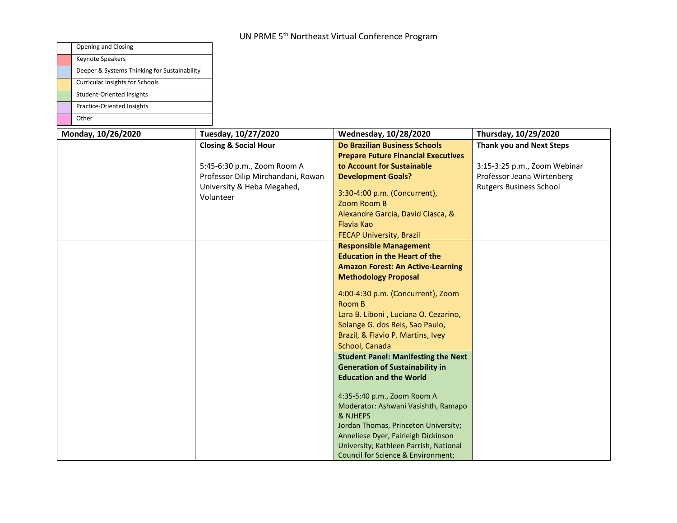| <b>Opening and Closing</b>                   |                                                                                                                                                  |                                                                                                                                                                                                                                                                                                                                                                                                                                                                                                                                                                         |                                                                                                                                 |
|----------------------------------------------|--------------------------------------------------------------------------------------------------------------------------------------------------|-------------------------------------------------------------------------------------------------------------------------------------------------------------------------------------------------------------------------------------------------------------------------------------------------------------------------------------------------------------------------------------------------------------------------------------------------------------------------------------------------------------------------------------------------------------------------|---------------------------------------------------------------------------------------------------------------------------------|
| <b>Keynote Speakers</b>                      |                                                                                                                                                  |                                                                                                                                                                                                                                                                                                                                                                                                                                                                                                                                                                         |                                                                                                                                 |
| Deeper & Systems Thinking for Sustainability |                                                                                                                                                  |                                                                                                                                                                                                                                                                                                                                                                                                                                                                                                                                                                         |                                                                                                                                 |
| <b>Curricular Insights for Schools</b>       |                                                                                                                                                  |                                                                                                                                                                                                                                                                                                                                                                                                                                                                                                                                                                         |                                                                                                                                 |
| Student-Oriented Insights                    |                                                                                                                                                  |                                                                                                                                                                                                                                                                                                                                                                                                                                                                                                                                                                         |                                                                                                                                 |
| Practice-Oriented Insights                   |                                                                                                                                                  |                                                                                                                                                                                                                                                                                                                                                                                                                                                                                                                                                                         |                                                                                                                                 |
| Other                                        |                                                                                                                                                  |                                                                                                                                                                                                                                                                                                                                                                                                                                                                                                                                                                         |                                                                                                                                 |
| Monday, 10/26/2020                           | Tuesday, 10/27/2020                                                                                                                              | Wednesday, 10/28/2020                                                                                                                                                                                                                                                                                                                                                                                                                                                                                                                                                   | Thursday, 10/29/2020                                                                                                            |
|                                              | <b>Closing &amp; Social Hour</b><br>5:45-6:30 p.m., Zoom Room A<br>Professor Dilip Mirchandani, Rowan<br>University & Heba Megahed,<br>Volunteer | <b>Do Brazilian Business Schools</b><br><b>Prepare Future Financial Executives</b><br>to Account for Sustainable<br><b>Development Goals?</b><br>3:30-4:00 p.m. (Concurrent),<br>Zoom Room B<br>Alexandre Garcia, David Ciasca, &<br><b>Flavia Kao</b><br><b>FECAP University, Brazil</b><br><b>Responsible Management</b><br><b>Education in the Heart of the</b><br><b>Amazon Forest: An Active-Learning</b><br><b>Methodology Proposal</b><br>4:00-4:30 p.m. (Concurrent), Zoom<br>Room B<br>Lara B. Liboni, Luciana O. Cezarino,<br>Solange G. dos Reis, Sao Paulo, | <b>Thank you and Next Steps</b><br>3:15-3:25 p.m., Zoom Webinar<br>Professor Jeana Wirtenberg<br><b>Rutgers Business School</b> |
|                                              |                                                                                                                                                  | Brazil, & Flavio P. Martins, Ivey<br>School, Canada                                                                                                                                                                                                                                                                                                                                                                                                                                                                                                                     |                                                                                                                                 |
|                                              |                                                                                                                                                  | <b>Student Panel: Manifesting the Next</b><br><b>Generation of Sustainability in</b><br><b>Education and the World</b><br>4:35-5:40 p.m., Zoom Room A<br>Moderator: Ashwani Vasishth, Ramapo<br>& NJHEPS<br>Jordan Thomas, Princeton University;<br>Anneliese Dyer, Fairleigh Dickinson<br>University; Kathleen Parrish, National<br>Council for Science & Environment;                                                                                                                                                                                                 |                                                                                                                                 |